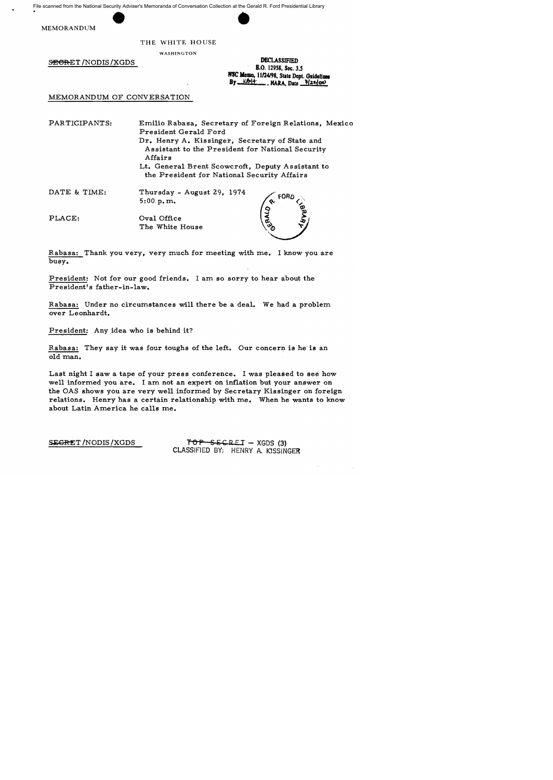File scanned from the National Security Adviser's Memoranda of Conversation Collection at the Gerald R. Ford Presidential Library the Gerald F

MEMORANDUM

## THE WHITE HOUSE

WASHINGTON

SEGRET /NODIS / XGDS

| <b>DECLASSIFIED</b>                                                                                                   |
|-----------------------------------------------------------------------------------------------------------------------|
| <b>E.O.</b> 12958, Sec. 3.5                                                                                           |
| NSC Memo, 11/24/98, State Dept. Guidelines<br>$By$ $\underline{\text{Kblt}}$ , NARA, Date $\overline{\text{3/22/00}}$ |

MEMORANDUM OF CONVERSATION

PARTICIPANTS:

Emilio Rabasa, Secretary of Foreign Relations, Mexico President Gerald Ford Dr. Henry A. Kissinger, Secretary of State and Assistant to the President for National Security Affairs

Lt. General Brent Scowcroft, Deputy Assistant to the President for National Security Affairs

DATE & TIME:

Thursday - August 29, 1974 5:00 p.m.

PLACE: Oval Office The White House

Rabasa: Thank you very, very much for meeting with me. I know you are busy.

President: Not for our good friends. I am so sorry to hear about the President's father-in-law.

Rabasa: Under no circumstances will there be a deal. We had a problem over Leonhardt.

President: Any idea who is behind it?

Rabasa: They say it was four toughs of the left. Our concern is he is an old man.

Last night I saw a tape of your press conference. I was pleased to see how well informed you are. I am not an expert on inflation but your answer on the OAS shows you are very well informed by Secretary Kissinger on foreign relations. Henry has a certain relationship with me. When he wants to know about Latin America he calls me.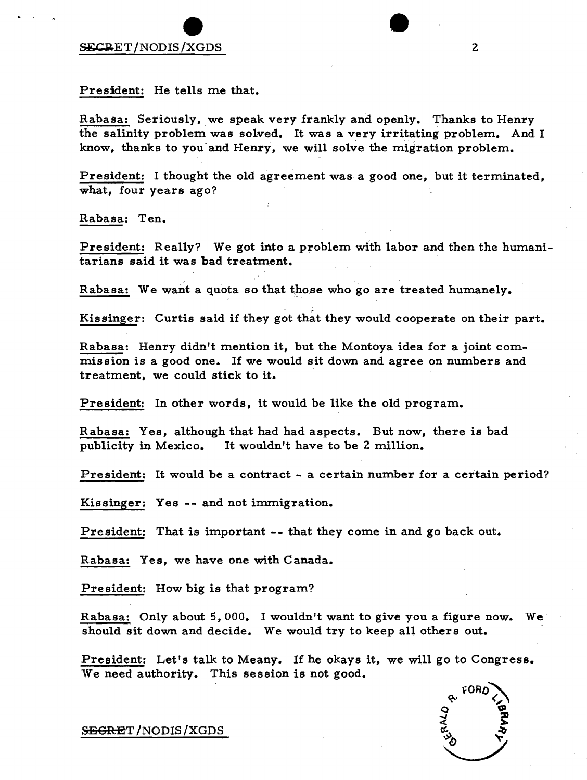## external property of the secret of the secret  $\sum_{n=1}^{\infty}$

President: He tells me that.

Rabasa: Seriously, we speak very frankly and openly. Thanks to Henry the salinity problem was solved. It was a very irritating problem. And I know, thanks to you'and Henry, we will solve the migration problem.

President: I thought the old agreement was a good one, but it terminated, what, four years ago?

Rabasa: Ten.

President: Really? We got into a problem with labor and then the humanitarians said it was bad treatment.

Rabasa: We want a quota so that those who go are treated humanely.

. Kissinger: Curtis said if they got that they would cooperate on their part.

Rabasa: Henry didn't mention it, but the Montoya idea for a joint commission is a good one. If we would sit down and agree on numbers and treatment, we could stick to it.

President: In other words, it would be like the old program.

Rabasa: Yes, although that had had aspects. But now, there is bad publicity in Mexico. It wouldn't have to be 2 million.

President: It would be a contract - a certain number for a certain period?

Kissinger: Yes -- and not immigration.

President: That is important -- that they come in and go back out.

Rabasa: Yes, we have one with Canada.

President: How big is that program?

Rabasa: Only about 5,000. I wouldn't want to give you a figure now. We should sit down and decide. We would try to keep all others out.

President: Let's talk to Meany. If he okays it, we will go to Congress. We need authority. This session is not good.



S<del>ECRE</del>T /NODIS / XGDS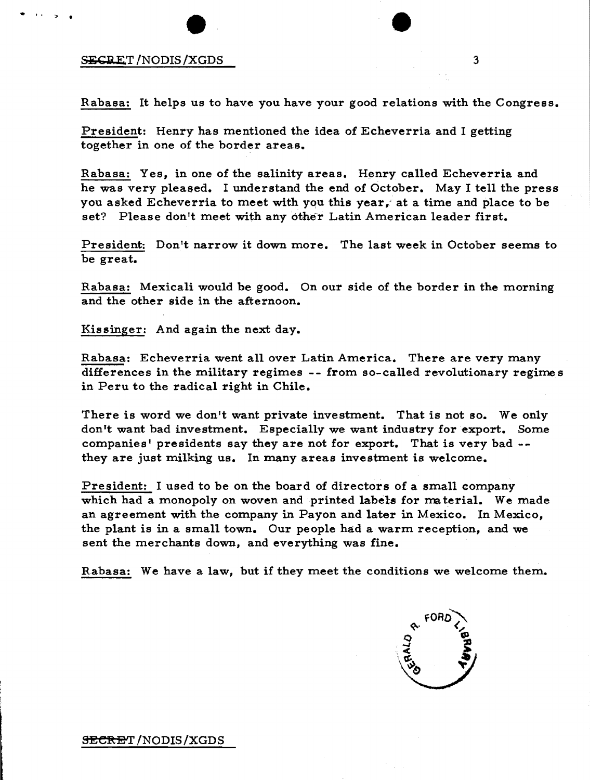## SECRET/NODIS/XGDS 3

 $\bullet$  (a  $\bullet$  ).

Rabasa: It helps us to have you have your good relations with the Congress.

President: Henry has mentioned the idea of Echeverria and I getting together in one of the border areas.

Rabasa: Yes, in one of the salinity areas. Henry called Echeverria and he was very pleased. I understand the end of October. May I tell the press you asked Echeverria to meet with you this year, at a time and place to be set? Please don't meet with any other Latin American leader first.

President: Don't narrow it down more. The last week in October seems to be great.

Rabasa: Mexicali would be good. On our side of the border in the morning and the other side in the afternoon.

Kissinger: And again the next day.

Rabasa: Echeverria went all over Latin America. There are very many differences in the military regimes -- from so-called revolutionary regimes in Peru to the radical right in Chile.

There is word we don't want private investment. That is not so. We only don't want bad investment. Especially we want industry for export. Some companies' presidents say they are not for export. That is very bad -they are just milking us. In many areas investment is welcome.

President: I used to be on the board of directors of a small company which had a monopoly on woven and printed labels for material. We made an agreement with the company in Payon and later in Mexico. In Mexico, the plant is in a small town. Our people had a warm reception, and we sent the merchants down, and everything was fine.

Rabasa: We have a law, but if they meet the conditions we welcome them.

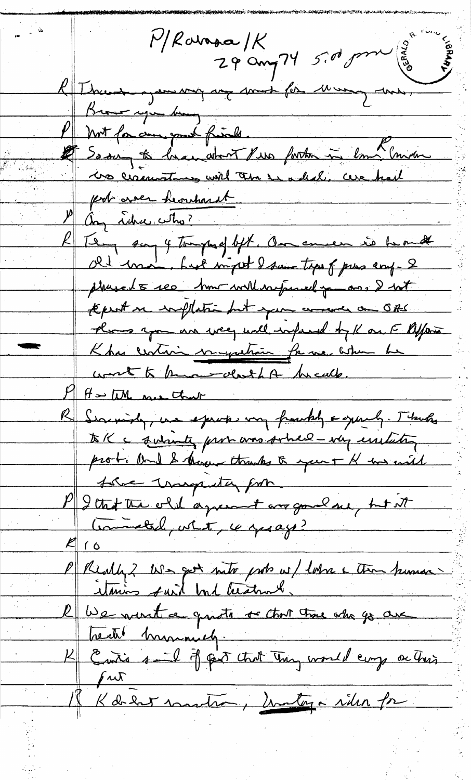$P/Rov$ apa $1K$  $rac{1}{29}$  ang 74 5.00 pm  $\begin{pmatrix} 0 \\ \frac{3}{10} \\ \frac{3}{10} \end{pmatrix}$ Rue mandagement aux mont for Mung une, P Mrt for come your finds. P Not for aux part friends.<br>Le Se sur to bran atout live forter in lomb moin pot avec herrhardt They say 4 tomped but. On ence is beaut Old man, had myet I saw tops of pres coup-2 phased 5 see home will respond po ans I with tepest in withstand but your arrange an OBS. there you are well until ty K on F Afford Khas centain immerstrain for me between he wort to know don't be treath.  $M_{\text{max}}$  of  $M_{\text{max}}$  that R Serving, un sprok von frankly agency. Thanks to K a questionte promovers sobre en experiente prot. And I though thanks to your + H has with the trupater from P 2 that the old agreement are gonal see, but it Commetal, what, is yesago?  $410$ P Really? We got note prob w/ latre c then punishes R We went a guitt a chor the other go are Kenti brunnely.<br>Kenti s-I j pet trut Truy would emp on Trus Kærernantis, matya riter fr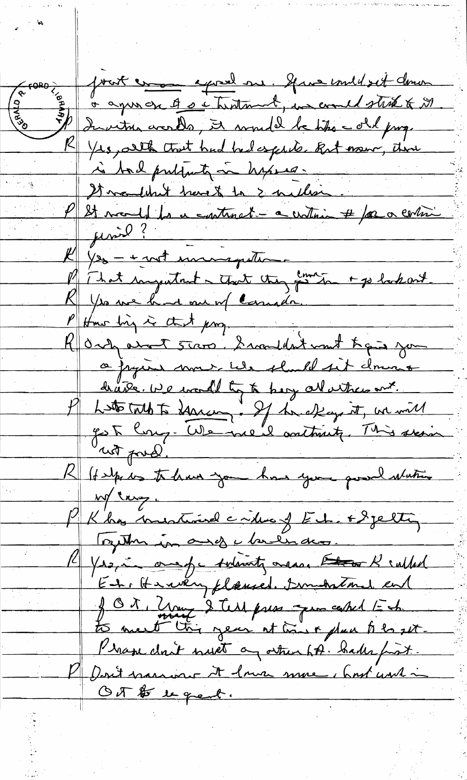prot en court en à agus on A se trentant, un could state to M b Invitre crords, it would be the -old page K Yrs, althout had hedesputs. But now, time is tail publicity in hyses. It wouldn't have to be author M/21 monde la ce continat - a continu # for a cortin Jenie ? 1/20 - + not monogester That ingentent - that they sent to bakout Yes we had one of canada. there his is that program R Ordy about stare. I wouldn't wont to get you a pagine nome we should sit down draite. We would by to bery all ather and. P Letterat to Harcon, If he effage it, we will Robert prod.<br>Robert dans to the me that you go a latin Mt russ. Kha mestine crime of Et + 8 jetting Touth in any chilians. 14 Yrs, in one of a subscribe ones the of subted En, Henrien, flaused. Smithtond en J O t , Zury & Test press que caked Ech Pragu don't must a other htt. Sales first. P Don't marriare it lower more, but with in OT \$ 1 gent.